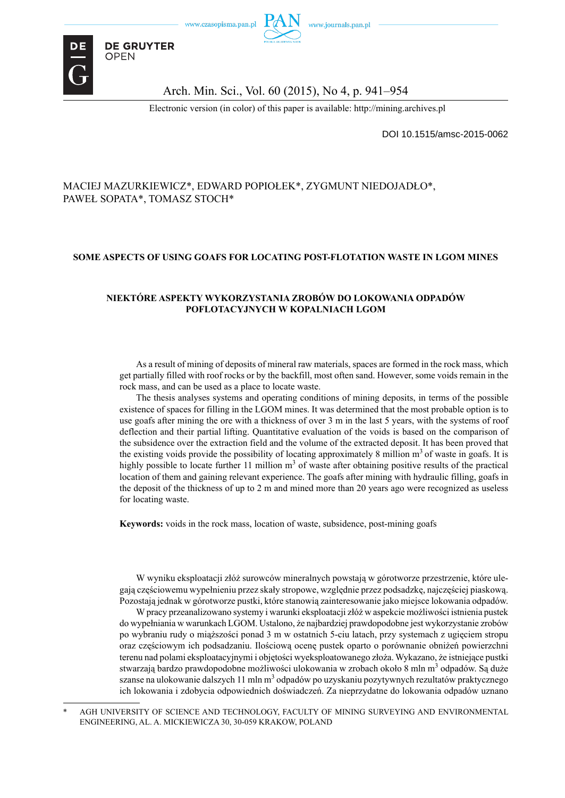

**DE GRUYTER OPEN** 

#### Arch. Min. Sci., Vol. 60 (2015), No 4, p. 941–954

Electronic version (in color) of this paper is available: http://mining.archives.pl

DOI 10.1515/amsc-2015-0062

#### MACIEJ MAZURKIEWICZ\*, EDWARD POPIOŁEK\*, ZYGMUNT NIEDOJADŁO\*, PAWEŁ SOPATA\*, TOMASZ STOCH\*

#### **SOME ASPECTS OF USING GOAFS FOR LOCATING POST-FLOTATION WASTE IN LGOM MINES**

#### **NIEKTÓRE ASPEKTY WYKORZYSTANIA ZROBÓW DO LOKOWANIA ODPADÓW POFLOTACYJNYCH W KOPALNIACH LGOM**

As a result of mining of deposits of mineral raw materials, spaces are formed in the rock mass, which get partially filled with roof rocks or by the backfill, most often sand. However, some voids remain in the rock mass, and can be used as a place to locate waste.

The thesis analyses systems and operating conditions of mining deposits, in terms of the possible existence of spaces for filling in the LGOM mines. It was determined that the most probable option is to use goafs after mining the ore with a thickness of over 3 m in the last 5 years, with the systems of roof deflection and their partial lifting. Quantitative evaluation of the voids is based on the comparison of the subsidence over the extraction field and the volume of the extracted deposit. It has been proved that the existing voids provide the possibility of locating approximately 8 million  $m<sup>3</sup>$  of waste in goafs. It is highly possible to locate further  $11$  million  $m<sup>3</sup>$  of waste after obtaining positive results of the practical location of them and gaining relevant experience. The goafs after mining with hydraulic filling, goafs in the deposit of the thickness of up to 2 m and mined more than 20 years ago were recognized as useless for locating waste.

**Keywords:** voids in the rock mass, location of waste, subsidence, post-mining goafs

W wyniku eksploatacji złóż surowców mineralnych powstają w górotworze przestrzenie, które ulegają częściowemu wypełnieniu przez skały stropowe, względnie przez podsadzkę, najczęściej piaskową. Pozostają jednak w górotworze pustki, które stanowią zainteresowanie jako miejsce lokowania odpadów.

W pracy przeanalizowano systemy i warunki eksploatacji złóż w aspekcie możliwości istnienia pustek do wypełniania w warunkach LGOM. Ustalono, że najbardziej prawdopodobne jest wykorzystanie zrobów po wybraniu rudy o miąższości ponad 3 m w ostatnich 5-ciu latach, przy systemach z ugięciem stropu oraz częściowym ich podsadzaniu. Ilościową ocenę pustek oparto o porównanie obniżeń powierzchni terenu nad polami eksploatacyjnymi i objętości wyeksploatowanego złoża. Wykazano, że istniejące pustki stwarzają bardzo prawdopodobne możliwości ulokowania w zrobach około 8 mln m<sup>3</sup> odpadów. Są duże szanse na ulokowanie dalszych 11 mln m $^3$  odpadów po uzyskaniu pozytywnych rezultatów praktycznego ich lokowania i zdobycia odpowiednich doświadczeń. Za nieprzydatne do lokowania odpadów uznano

AGH UNIVERSITY OF SCIENCE AND TECHNOLOGY, FACULTY OF MINING SURVEYING AND ENVIRONMENTAL ENGINEERING, AL. A. MICKIEWICZA 30, 30-059 KRAKOW, POLAND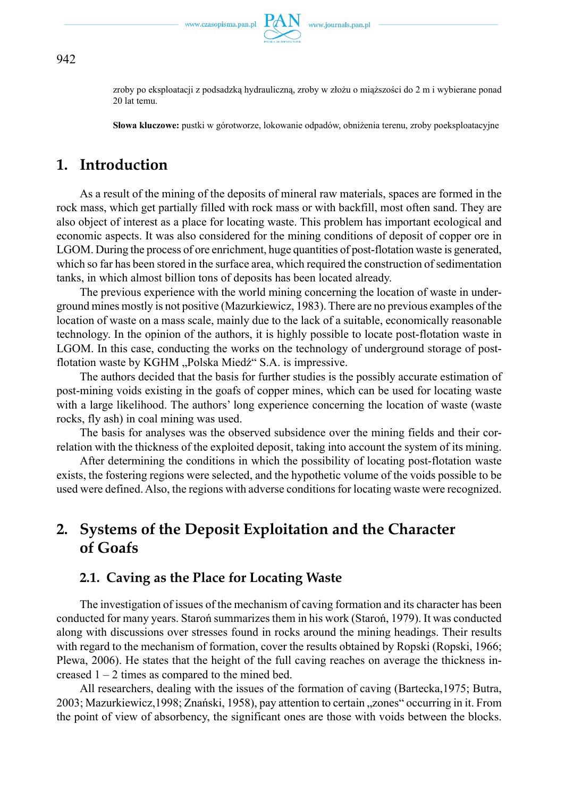

zroby po eksploatacji z podsadzką hydrauliczną, zroby w złożu o miąższości do 2 m i wybierane ponad 20 lat temu.

**Słowa kluczowe:** pustki w górotworze, lokowanie odpadów, obniżenia terenu, zroby poeksploatacyjne

# **1. Introduction**

As a result of the mining of the deposits of mineral raw materials, spaces are formed in the rock mass, which get partially filled with rock mass or with backfill, most often sand. They are also object of interest as a place for locating waste. This problem has important ecological and economic aspects. It was also considered for the mining conditions of deposit of copper ore in LGOM. During the process of ore enrichment, huge quantities of post-flotation waste is generated, which so far has been stored in the surface area, which required the construction of sedimentation tanks, in which almost billion tons of deposits has been located already.

The previous experience with the world mining concerning the location of waste in underground mines mostly is not positive (Mazurkiewicz, 1983). There are no previous examples of the location of waste on a mass scale, mainly due to the lack of a suitable, economically reasonable technology. In the opinion of the authors, it is highly possible to locate post-flotation waste in LGOM. In this case, conducting the works on the technology of underground storage of postflotation waste by KGHM "Polska Miedź" S.A. is impressive.

The authors decided that the basis for further studies is the possibly accurate estimation of post-mining voids existing in the goafs of copper mines, which can be used for locating waste with a large likelihood. The authors' long experience concerning the location of waste (waste rocks, fly ash) in coal mining was used.

The basis for analyses was the observed subsidence over the mining fields and their correlation with the thickness of the exploited deposit, taking into account the system of its mining.

After determining the conditions in which the possibility of locating post-flotation waste exists, the fostering regions were selected, and the hypothetic volume of the voids possible to be used were defined. Also, the regions with adverse conditions for locating waste were recognized.

# **2. Systems of the Deposit Exploitation and the Character of Goafs**

### **2.1. Caving as the Place for Locating Waste**

The investigation of issues of the mechanism of caving formation and its character has been conducted for many years. Staroń summarizes them in his work (Staroń, 1979). It was conducted along with discussions over stresses found in rocks around the mining headings. Their results with regard to the mechanism of formation, cover the results obtained by Ropski (Ropski, 1966; Plewa, 2006). He states that the height of the full caving reaches on average the thickness increased  $1 - 2$  times as compared to the mined bed.

All researchers, dealing with the issues of the formation of caving (Bartecka,1975; Butra, 2003; Mazurkiewicz, 1998; Znański, 1958), pay attention to certain "zones" occurring in it. From the point of view of absorbency, the significant ones are those with voids between the blocks.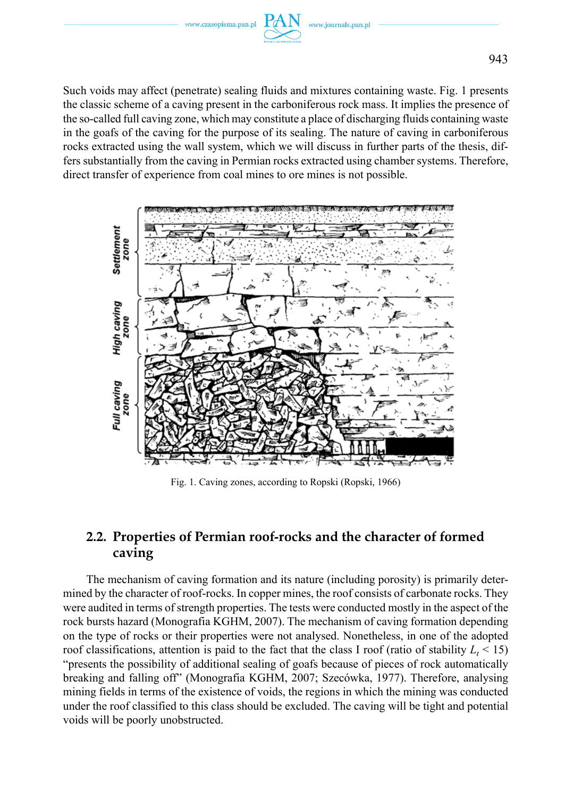

Such voids may affect (penetrate) sealing fluids and mixtures containing waste. Fig. 1 presents the classic scheme of a caving present in the carboniferous rock mass. It implies the presence of the so-called full caving zone, which may constitute a place of discharging fluids containing waste in the goafs of the caving for the purpose of its sealing. The nature of caving in carboniferous rocks extracted using the wall system, which we will discuss in further parts of the thesis, differs substantially from the caving in Permian rocks extracted using chamber systems. Therefore, direct transfer of experience from coal mines to ore mines is not possible.



Fig. 1. Caving zones, according to Ropski (Ropski, 1966)

## **2.2. Properties of Permian roof-rocks and the character of formed caving**

The mechanism of caving formation and its nature (including porosity) is primarily determined by the character of roof-rocks. In copper mines, the roof consists of carbonate rocks. They were audited in terms of strength properties. The tests were conducted mostly in the aspect of the rock bursts hazard (Monografia KGHM, 2007). The mechanism of caving formation depending on the type of rocks or their properties were not analysed. Nonetheless, in one of the adopted roof classifications, attention is paid to the fact that the class I roof (ratio of stability  $L_t < 15$ ) "presents the possibility of additional sealing of goafs because of pieces of rock automatically breaking and falling off" (Monografia KGHM, 2007; Szecówka, 1977). Therefore, analysing mining fields in terms of the existence of voids, the regions in which the mining was conducted under the roof classified to this class should be excluded. The caving will be tight and potential voids will be poorly unobstructed.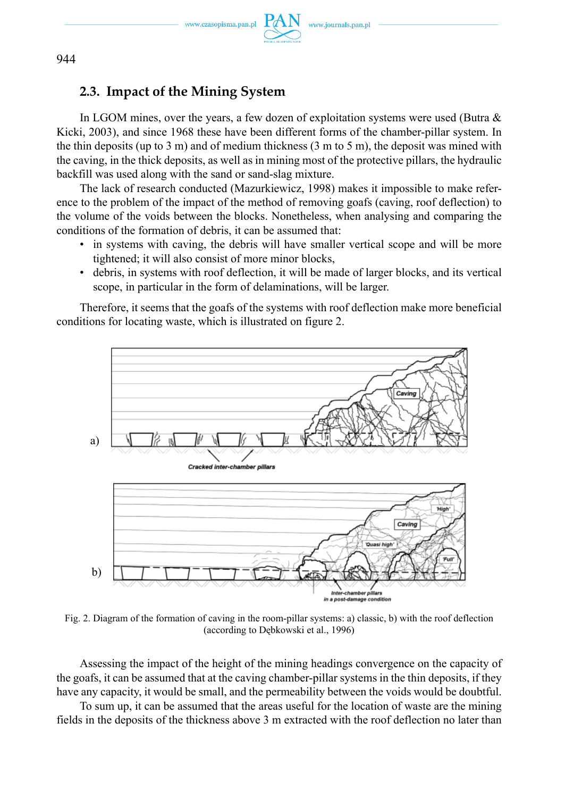

### **2.3. Impact of the Mining System**

In LGOM mines, over the years, a few dozen of exploitation systems were used (Butra & Kicki, 2003), and since 1968 these have been different forms of the chamber-pillar system. In the thin deposits (up to 3 m) and of medium thickness  $(3 \text{ m to } 5 \text{ m})$ , the deposit was mined with the caving, in the thick deposits, as well as in mining most of the protective pillars, the hydraulic backfill was used along with the sand or sand-slag mixture.

The lack of research conducted (Mazurkiewicz, 1998) makes it impossible to make reference to the problem of the impact of the method of removing goafs (caving, roof deflection) to the volume of the voids between the blocks. Nonetheless, when analysing and comparing the conditions of the formation of debris, it can be assumed that:

- in systems with caving, the debris will have smaller vertical scope and will be more tightened; it will also consist of more minor blocks,
- debris, in systems with roof deflection, it will be made of larger blocks, and its vertical scope, in particular in the form of delaminations, will be larger.

Therefore, it seems that the goafs of the systems with roof deflection make more beneficial conditions for locating waste, which is illustrated on figure 2.



Fig. 2. Diagram of the formation of caving in the room-pillar systems: a) classic, b) with the roof deflection (according to Dębkowski et al., 1996)

Assessing the impact of the height of the mining headings convergence on the capacity of the goafs, it can be assumed that at the caving chamber-pillar systems in the thin deposits, if they have any capacity, it would be small, and the permeability between the voids would be doubtful.

To sum up, it can be assumed that the areas useful for the location of waste are the mining fields in the deposits of the thickness above 3 m extracted with the roof deflection no later than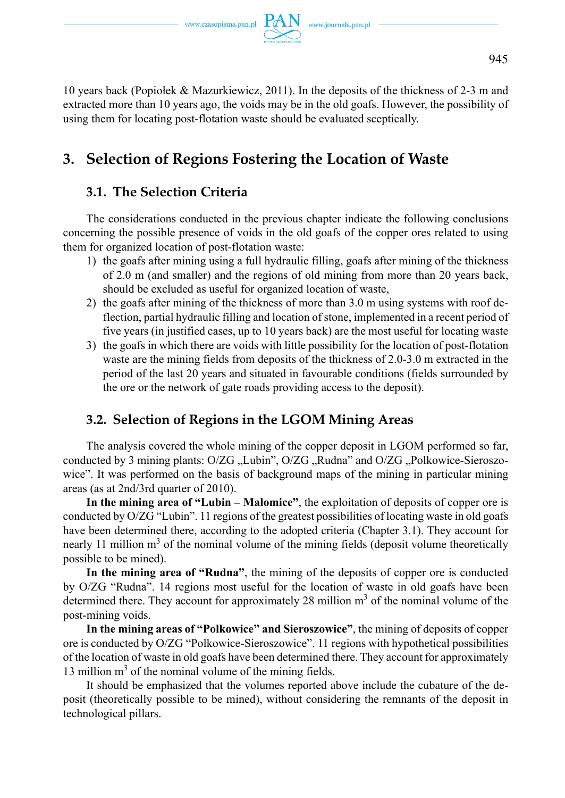10 years back (Popiołek & Mazurkiewicz, 2011). In the deposits of the thickness of 2-3 m and extracted more than 10 years ago, the voids may be in the old goafs. However, the possibility of using them for locating post-flotation waste should be evaluated sceptically.

# **3. Selection of Regions Fostering the Location of Waste**

## **3.1. The Selection Criteria**

The considerations conducted in the previous chapter indicate the following conclusions concerning the possible presence of voids in the old goafs of the copper ores related to using them for organized location of post-flotation waste:

- 1) the goafs after mining using a full hydraulic filling, goafs after mining of the thickness of 2.0 m (and smaller) and the regions of old mining from more than 20 years back, should be excluded as useful for organized location of waste,
- 2) the goafs after mining of the thickness of more than 3.0 m using systems with roof deflection, partial hydraulic filling and location of stone, implemented in a recent period of five years (in justified cases, up to 10 years back) are the most useful for locating waste
- 3) the goafs in which there are voids with little possibility for the location of post-flotation waste are the mining fields from deposits of the thickness of 2.0-3.0 m extracted in the period of the last 20 years and situated in favourable conditions (fields surrounded by the ore or the network of gate roads providing access to the deposit).

## **3.2. Selection of Regions in the LGOM Mining Areas**

The analysis covered the whole mining of the copper deposit in LGOM performed so far, conducted by 3 mining plants:  $O/ZG$  "Lubin",  $O/ZG$  "Rudna" and  $O/ZG$  "Polkowice-Sieroszowice". It was performed on the basis of background maps of the mining in particular mining areas (as at 2nd/3rd quarter of 2010).

**In the mining area of "Lubin – Małomice"**, the exploitation of deposits of copper ore is conducted by O/ZG "Lubin". 11 regions of the greatest possibilities of locating waste in old goafs have been determined there, according to the adopted criteria (Chapter 3.1). They account for nearly 11 million m<sup>3</sup> of the nominal volume of the mining fields (deposit volume theoretically possible to be mined).

**In the mining area of "Rudna"**, the mining of the deposits of copper ore is conducted by O/ZG "Rudna". 14 regions most useful for the location of waste in old goafs have been determined there. They account for approximately 28 million  $m<sup>3</sup>$  of the nominal volume of the post-mining voids.

**In the mining areas of "Polkowice" and Sieroszowice"**, the mining of deposits of copper ore is conducted by O/ZG "Polkowice-Sieroszowice". 11 regions with hypothetical possibilities of the location of waste in old goafs have been determined there. They account for approximately 13 million m<sup>3</sup> of the nominal volume of the mining fields.

It should be emphasized that the volumes reported above include the cubature of the deposit (theoretically possible to be mined), without considering the remnants of the deposit in technological pillars.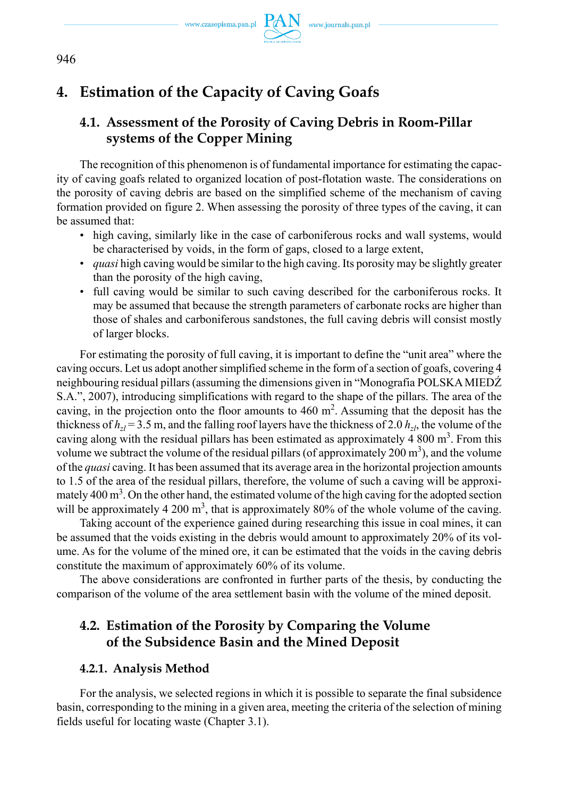

# **4. Estimation of the Capacity of Caving Goafs**

# **4.1. Assessment of the Porosity of Caving Debris in Room-Pillar systems of the Copper Mining**

The recognition of this phenomenon is of fundamental importance for estimating the capacity of caving goafs related to organized location of post-flotation waste. The considerations on the porosity of caving debris are based on the simplified scheme of the mechanism of caving formation provided on figure 2. When assessing the porosity of three types of the caving, it can be assumed that:

- high caving, similarly like in the case of carboniferous rocks and wall systems, would be characterised by voids, in the form of gaps, closed to a large extent,
- *quasi* high caving would be similar to the high caving. Its porosity may be slightly greater than the porosity of the high caving,
- full caving would be similar to such caving described for the carboniferous rocks. It may be assumed that because the strength parameters of carbonate rocks are higher than those of shales and carboniferous sandstones, the full caving debris will consist mostly of larger blocks.

For estimating the porosity of full caving, it is important to define the "unit area" where the caving occurs. Let us adopt another simplified scheme in the form of a section of goafs, covering 4 neighbouring residual pillars (assuming the dimensions given in "Monografia POLSKA MIEDŹ S.A.", 2007), introducing simplifications with regard to the shape of the pillars. The area of the caving, in the projection onto the floor amounts to  $460 \text{ m}^2$ . Assuming that the deposit has the thickness of  $h_{z}$  = 3.5 m, and the falling roof layers have the thickness of 2.0  $h_{z}$ , the volume of the caving along with the residual pillars has been estimated as approximately 4 800  $m<sup>3</sup>$ . From this volume we subtract the volume of the residual pillars (of approximately 200  $\text{m}^3$ ), and the volume of the *quasi* caving. It has been assumed that its average area in the horizontal projection amounts to 1.5 of the area of the residual pillars, therefore, the volume of such a caving will be approximately  $400 \text{ m}^3$ . On the other hand, the estimated volume of the high caving for the adopted section will be approximately 4 200  $m<sup>3</sup>$ , that is approximately 80% of the whole volume of the caving.

Taking account of the experience gained during researching this issue in coal mines, it can be assumed that the voids existing in the debris would amount to approximately 20% of its volume. As for the volume of the mined ore, it can be estimated that the voids in the caving debris constitute the maximum of approximately 60% of its volume.

The above considerations are confronted in further parts of the thesis, by conducting the comparison of the volume of the area settlement basin with the volume of the mined deposit.

## **4.2. Estimation of the Porosity by Comparing the Volume of the Subsidence Basin and the Mined Deposit**

#### **4.2.1. Analysis Method**

For the analysis, we selected regions in which it is possible to separate the final subsidence basin, corresponding to the mining in a given area, meeting the criteria of the selection of mining fields useful for locating waste (Chapter 3.1).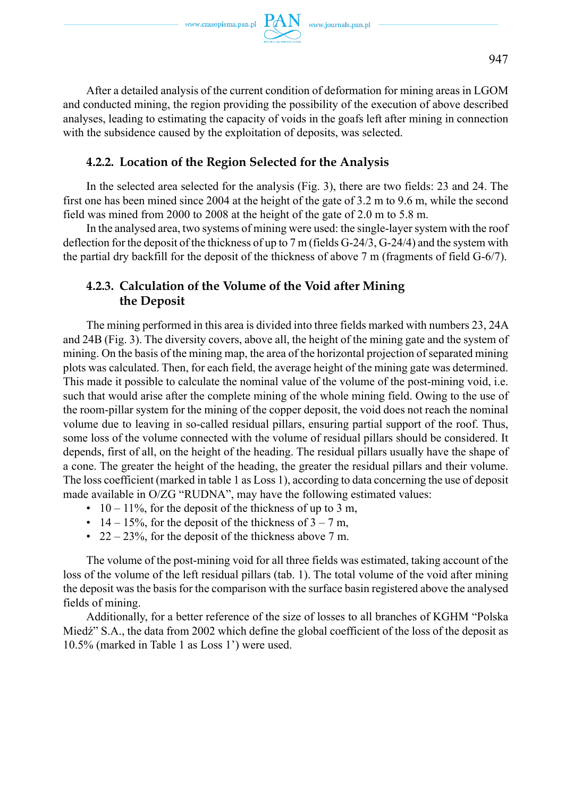After a detailed analysis of the current condition of deformation for mining areas in LGOM and conducted mining, the region providing the possibility of the execution of above described analyses, leading to estimating the capacity of voids in the goafs left after mining in connection with the subsidence caused by the exploitation of deposits, was selected.

#### **4.2.2. Location of the Region Selected for the Analysis**

In the selected area selected for the analysis (Fig. 3), there are two fields: 23 and 24. The first one has been mined since 2004 at the height of the gate of 3.2 m to 9.6 m, while the second field was mined from 2000 to 2008 at the height of the gate of 2.0 m to 5.8 m.

In the analysed area, two systems of mining were used: the single-layer system with the roof deflection for the deposit of the thickness of up to 7 m (fields G-24/3, G-24/4) and the system with the partial dry backfill for the deposit of the thickness of above 7 m (fragments of field G-6/7).

### **4.2.3. Calculation of the Volume of the Void after Mining the Deposit**

The mining performed in this area is divided into three fields marked with numbers 23, 24A and 24B (Fig. 3). The diversity covers, above all, the height of the mining gate and the system of mining. On the basis of the mining map, the area of the horizontal projection of separated mining plots was calculated. Then, for each field, the average height of the mining gate was determined. This made it possible to calculate the nominal value of the volume of the post-mining void, i.e. such that would arise after the complete mining of the whole mining field. Owing to the use of the room-pillar system for the mining of the copper deposit, the void does not reach the nominal volume due to leaving in so-called residual pillars, ensuring partial support of the roof. Thus, some loss of the volume connected with the volume of residual pillars should be considered. It depends, first of all, on the height of the heading. The residual pillars usually have the shape of a cone. The greater the height of the heading, the greater the residual pillars and their volume. The loss coefficient (marked in table 1 as Loss 1), according to data concerning the use of deposit made available in O/ZG "RUDNA", may have the following estimated values:

- $10 11\%$ , for the deposit of the thickness of up to 3 m,
- 14 15%, for the deposit of the thickness of  $3 7$  m,
- 22 23%, for the deposit of the thickness above 7 m.

The volume of the post-mining void for all three fields was estimated, taking account of the loss of the volume of the left residual pillars (tab. 1). The total volume of the void after mining the deposit was the basis for the comparison with the surface basin registered above the analysed fields of mining.

Additionally, for a better reference of the size of losses to all branches of KGHM "Polska Miedź" S.A., the data from 2002 which define the global coefficient of the loss of the deposit as 10.5% (marked in Table 1 as Loss 1') were used.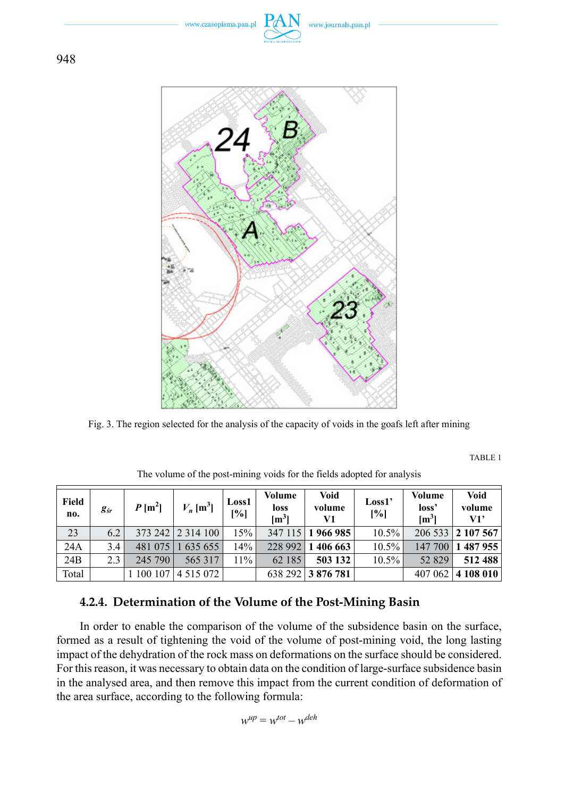www.czasopisma.pan.pl



Fig. 3. The region selected for the analysis of the capacity of voids in the goafs left after mining

TABLE 1

| Field<br>no. | $g_{\scriptscriptstyle sr}$ | $P[m^2]$  | $V_n$ [m <sup>3</sup> ] | Loss1<br>[%] | Volume<br>loss<br>$\mathrm{[m^3]}$ | <b>Void</b><br>volume<br>V1 | Loss1'<br>[%] | Volume<br>loss'<br>$\mathrm{[m^3]}$ | <b>Void</b><br>volume<br>V1' |
|--------------|-----------------------------|-----------|-------------------------|--------------|------------------------------------|-----------------------------|---------------|-------------------------------------|------------------------------|
| 23           | 6.2                         |           | 373 242 2 314 100       | 15%          | 347 115                            | 1966985                     | $10.5\%$      |                                     | 206 533 2 107 567            |
| 24A          | 3.4                         | 481 075   | 635655                  | 14%          | 228 992                            | 1 406 663                   | 10.5%         | 147 700                             | 1487955                      |
| 24B          | 2.3                         | 245 790   | 565 317                 | $11\%$       | 62 185                             | 503 132                     | 10.5%         | 52 829                              | 512 488                      |
| Total        |                             | 1 100 107 | 4 5 1 5 0 7 2           |              |                                    | 638 292 3 876 781           |               | 407 062                             | $ 4\;108\;010 $              |

The volume of the post-mining voids for the fields adopted for analysis

## **4.2.4. Determination of the Volume of the Post-Mining Basin**

In order to enable the comparison of the volume of the subsidence basin on the surface, formed as a result of tightening the void of the volume of post-mining void, the long lasting impact of the dehydration of the rock mass on deformations on the surface should be considered. For this reason, it was necessary to obtain data on the condition of large-surface subsidence basin in the analysed area, and then remove this impact from the current condition of deformation of the area surface, according to the following formula:

$$
w^{up} = w^{tot} - w^{deh}
$$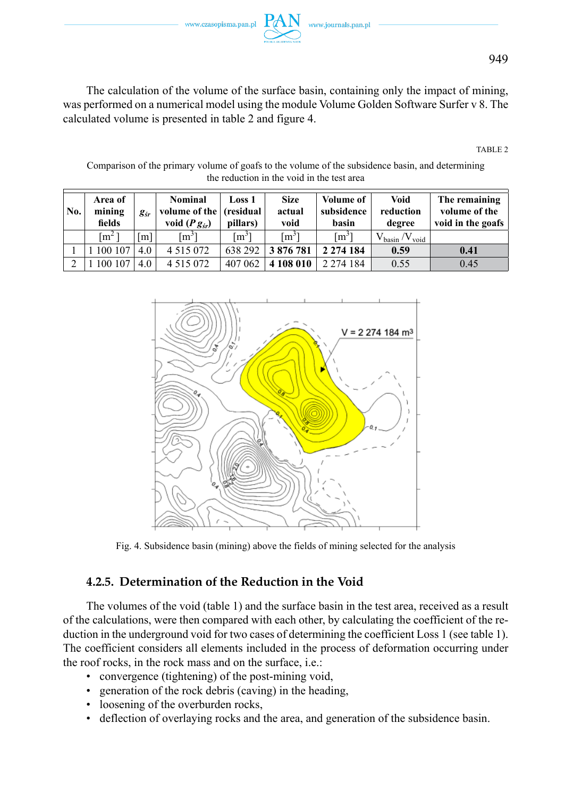www.czasopisma.pan.pl

The calculation of the volume of the surface basin, containing only the impact of mining, was performed on a numerical model using the module Volume Golden Software Surfer v 8. The calculated volume is presented in table 2 and figure 4.

TABLE 2

Comparison of the primary volume of goafs to the volume of the subsidence basin, and determining the reduction in the void in the test area

| No.           | Area of<br>mining<br>fields | g <sub>śr</sub> | <b>Nominal</b><br>volume of the<br>void $(Pg_{sr})$ | Loss 1<br>(residual)<br>pillars) | <b>Size</b><br>actual<br>void | <b>Volume of</b><br>subsidence<br>basin | Void<br>reduction<br>degree        | The remaining<br>volume of the<br>void in the goafs |
|---------------|-----------------------------|-----------------|-----------------------------------------------------|----------------------------------|-------------------------------|-----------------------------------------|------------------------------------|-----------------------------------------------------|
|               | $\rm fm^2$ 1                | [m]             | $\lceil m^3 \rceil$                                 | $\lceil m^3 \rceil$              | $\lceil m^3 \rceil$           | $\lceil m^3 \rceil$                     | $V_{\text{basin}}/V_{\text{void}}$ |                                                     |
|               | 100 107                     | 4.0             | 4 5 1 5 0 7 2                                       | 638 292                          | 3876781                       | 2 2 7 4 1 8 4                           | 0.59                               | 0.41                                                |
| $\mathcal{L}$ | 100 107                     | 4.0             | 4 5 1 5 0 7 2                                       | 407 062                          | 4 108 010                     | 2 2 7 4 1 8 4                           | 0.55                               | 0.45                                                |



Fig. 4. Subsidence basin (mining) above the fields of mining selected for the analysis

### **4.2.5. Determination of the Reduction in the Void**

The volumes of the void (table 1) and the surface basin in the test area, received as a result of the calculations, were then compared with each other, by calculating the coefficient of the reduction in the underground void for two cases of determining the coefficient Loss 1 (see table 1). The coefficient considers all elements included in the process of deformation occurring under the roof rocks, in the rock mass and on the surface, i.e.:

- convergence (tightening) of the post-mining void,
- generation of the rock debris (caving) in the heading,
- loosening of the overburden rocks,
- deflection of overlaying rocks and the area, and generation of the subsidence basin.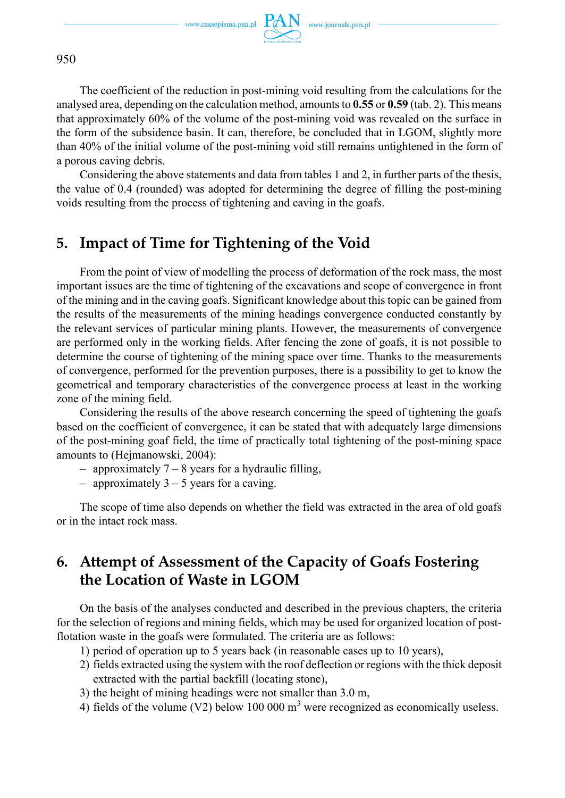

The coefficient of the reduction in post-mining void resulting from the calculations for the analysed area, depending on the calculation method, amounts to **0.55** or **0.59** (tab. 2). This means that approximately 60% of the volume of the post-mining void was revealed on the surface in the form of the subsidence basin. It can, therefore, be concluded that in LGOM, slightly more than 40% of the initial volume of the post-mining void still remains untightened in the form of a porous caving debris.

Considering the above statements and data from tables 1 and 2, in further parts of the thesis, the value of 0.4 (rounded) was adopted for determining the degree of filling the post-mining voids resulting from the process of tightening and caving in the goafs.

# **5. Impact of Time for Tightening of the Void**

From the point of view of modelling the process of deformation of the rock mass, the most important issues are the time of tightening of the excavations and scope of convergence in front of the mining and in the caving goafs. Significant knowledge about this topic can be gained from the results of the measurements of the mining headings convergence conducted constantly by the relevant services of particular mining plants. However, the measurements of convergence are performed only in the working fields. After fencing the zone of goafs, it is not possible to determine the course of tightening of the mining space over time. Thanks to the measurements of convergence, performed for the prevention purposes, there is a possibility to get to know the geometrical and temporary characteristics of the convergence process at least in the working zone of the mining field.

Considering the results of the above research concerning the speed of tightening the goafs based on the coefficient of convergence, it can be stated that with adequately large dimensions of the post-mining goaf field, the time of practically total tightening of the post-mining space amounts to (Hejmanowski, 2004):

- $-$  approximately  $7 8$  years for a hydraulic filling,
- approximately  $3 5$  years for a caving.

The scope of time also depends on whether the field was extracted in the area of old goafs or in the intact rock mass.

# **6. Attempt of Assessment of the Capacity of Goafs Fostering the Location of Waste in LGOM**

On the basis of the analyses conducted and described in the previous chapters, the criteria for the selection of regions and mining fields, which may be used for organized location of postflotation waste in the goafs were formulated. The criteria are as follows:

- 1) period of operation up to 5 years back (in reasonable cases up to 10 years),
- 2) fields extracted using the system with the roof deflection or regions with the thick deposit extracted with the partial backfill (locating stone),
- 3) the height of mining headings were not smaller than 3.0 m,
- 4) fields of the volume (V2) below 100 000  $m<sup>3</sup>$  were recognized as economically useless.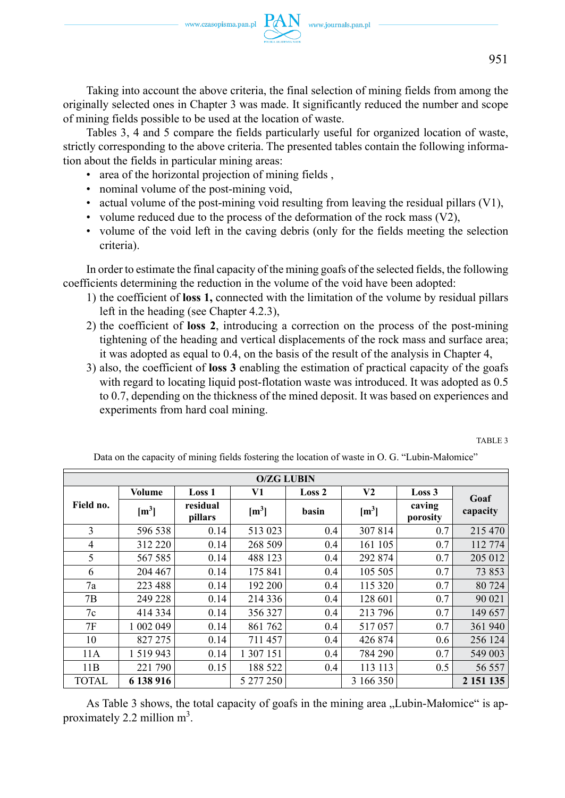

Taking into account the above criteria, the final selection of mining fields from among the originally selected ones in Chapter 3 was made. It significantly reduced the number and scope of mining fields possible to be used at the location of waste.

Tables 3, 4 and 5 compare the fields particularly useful for organized location of waste, strictly corresponding to the above criteria. The presented tables contain the following information about the fields in particular mining areas:

- area of the horizontal projection of mining fields ,
- nominal volume of the post-mining void,
- actual volume of the post-mining void resulting from leaving the residual pillars (V1),
- volume reduced due to the process of the deformation of the rock mass  $(V2)$ ,
- volume of the void left in the caving debris (only for the fields meeting the selection criteria).

In order to estimate the final capacity of the mining goafs of the selected fields, the following coefficients determining the reduction in the volume of the void have been adopted:

- 1) the coefficient of **loss 1,** connected with the limitation of the volume by residual pillars left in the heading (see Chapter 4.2.3),
- 2) the coefficient of **loss 2**, introducing a correction on the process of the post-mining tightening of the heading and vertical displacements of the rock mass and surface area; it was adopted as equal to 0.4, on the basis of the result of the analysis in Chapter 4,
- 3) also, the coefficient of **loss 3** enabling the estimation of practical capacity of the goafs with regard to locating liquid post-flotation waste was introduced. It was adopted as 0.5 to 0.7, depending on the thickness of the mined deposit. It was based on experiences and experiments from hard coal mining.

TABLE 3

|                | <b>O/ZG LUBIN</b> |                     |                  |                   |                |                    |           |  |
|----------------|-------------------|---------------------|------------------|-------------------|----------------|--------------------|-----------|--|
|                | <b>Volume</b>     | <b>Loss 1</b>       | V1               | Loss <sub>2</sub> | V <sub>2</sub> | Loss 3             | Goaf      |  |
| Field no.      | $[m^3]$           | residual<br>pillars | $\mathrm{[m^3]}$ | basin             | $[m^3]$        | caving<br>porosity | capacity  |  |
| 3              | 596 538           | 0.14                | 513 023          | 0.4               | 307 814        | 0.7                | 215 470   |  |
| $\overline{4}$ | 312 220           | 0.14                | 268 509          | 0.4               | 161 105        | 0.7                | 112 774   |  |
| 5              | 567 585           | 0.14                | 488 123          | 0.4               | 292 874        | 0.7                | 205 012   |  |
| 6              | 204 467           | 0.14                | 175 841          | 0.4               | 105 505        | 0.7                | 73 853    |  |
| 7a             | 223 488           | 0.14                | 192 200          | 0.4               | 115 320        | 0.7                | 80 724    |  |
| 7B             | 249 228           | 0.14                | 214 336          | 0.4               | 128 601        | 0.7                | 90 021    |  |
| 7c             | 414 334           | 0.14                | 356 327          | 0.4               | 213 796        | 0.7                | 149 657   |  |
| 7F             | 1 002 049         | 0.14                | 861 762          | 0.4               | 517057         | 0.7                | 361 940   |  |
| 10             | 827 275           | 0.14                | 711 457          | 0.4               | 426 874        | 0.6                | 256 124   |  |
| 11A            | 1 5 1 9 9 4 3     | 0.14                | 1 307 151        | 0.4               | 784 290        | 0.7                | 549 003   |  |
| 11B            | 221 790           | 0.15                | 188 522          | 0.4               | 113 113        | 0.5                | 56 557    |  |
| <b>TOTAL</b>   | 6 138 916         |                     | 5 277 250        |                   | 3 166 350      |                    | 2 151 135 |  |

Data on the capacity of mining fields fostering the location of waste in O. G. "Lubin-Małomice"

As Table 3 shows, the total capacity of goafs in the mining area "Lubin-Małomice" is approximately 2.2 million  $m^3$ .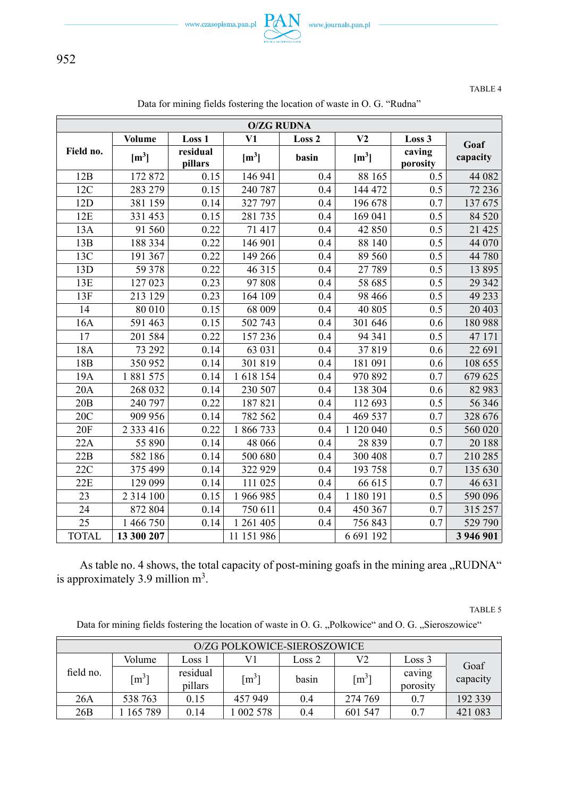

TABLE 4

| <b>O/ZG RUDNA</b> |                                   |                               |                        |                 |                           |                              |                  |
|-------------------|-----------------------------------|-------------------------------|------------------------|-----------------|---------------------------|------------------------------|------------------|
|                   |                                   |                               |                        |                 |                           |                              |                  |
| Field no.         | <b>Volume</b><br>$\mathrm{[m^3]}$ | Loss 1<br>residual<br>pillars | V1<br>$\mathrm{[m^3]}$ | Loss 2<br>basin | V <sub>2</sub><br>$[m^3]$ | Loss 3<br>caving<br>porosity | Goaf<br>capacity |
| 12B               | 172 872                           | 0.15                          | 146 941                | 0.4             | 88 165                    | 0.5                          | 44 082           |
| 12C               | 283 279                           | 0.15                          | 240 787                | 0.4             | 144 472                   | 0.5                          | 72 236           |
| 12D               | 381 159                           | 0.14                          | 327 797                | 0.4             | 196 678                   | 0.7                          | 137 675          |
| 12E               | 331 453                           | 0.15                          | 281735                 | 0.4             | 169 041                   | 0.5                          | 84 5 20          |
| 13A               | 91 560                            | 0.22                          | 71 417                 | 0.4             | 42 850                    | 0.5                          | 21 4 25          |
| 13B               | 188 334                           | 0.22                          | 146 901                | 0.4             | 88 140                    | $\overline{0.5}$             | 44 070           |
| 13C               | 191367                            | 0.22                          | 149 266                | 0.4             | 89 560                    | 0.5                          | 44 780           |
| 13D               | 59 378                            | 0.22                          | 46 315                 | 0.4             | 27 789                    | 0.5                          | 13 8 95          |
| 13E               | 127 023                           | 0.23                          | 97 808                 | 0.4             | 58 685                    | 0.5                          | 29 342           |
| 13F               | 213 129                           | 0.23                          | 164 109                | 0.4             | 98 4 66                   | 0.5                          | 49 233           |
| 14                | 80 010                            | 0.15                          | 68 009                 | 0.4             | 40 805                    | 0.5                          | 20 403           |
| 16A               | 591 463                           | 0.15                          | 502 743                | 0.4             | 301 646                   | 0.6                          | 180 988          |
| 17                | 201 584                           | 0.22                          | 157 236                | 0.4             | 94 341                    | $\overline{0.5}$             | 47 171           |
| 18A               | 73 292                            | 0.14                          | 63 031                 | 0.4             | 37819                     | 0.6                          | 22 691           |
| 18 <sub>B</sub>   | 350 952                           | 0.14                          | 301819                 | 0.4             | 181 091                   | 0.6                          | 108 655          |
| 19A               | 1881575                           | 0.14                          | 1618154                | 0.4             | 970 892                   | 0.7                          | 679 625          |
| 20A               | 268 032                           | 0.14                          | 230 507                | 0.4             | 138 304                   | 0.6                          | 82 983           |
| 20B               | 240 797                           | 0.22                          | 187821                 | 0.4             | 112 693                   | 0.5                          | 56 346           |
| 20C               | 909 956                           | 0.14                          | 782 562                | 0.4             | 469 537                   | 0.7                          | 328 676          |
| 20F               | 2 3 3 3 4 1 6                     | 0.22                          | 1866733                | 0.4             | 1 120 040                 | $\overline{0.5}$             | 560 020          |
| 22A               | 55 890                            | 0.14                          | 48 066                 | 0.4             | 28 8 39                   | 0.7                          | 20 188           |
| 22B               | 582 186                           | 0.14                          | 500 680                | 0.4             | 300 408                   | 0.7                          | 210 285          |
| 22C               | 375 499                           | 0.14                          | 322 929                | 0.4             | 193 758                   | 0.7                          | 135 630          |
| 22E               | 129 099                           | 0.14                          | 111 025                | 0.4             | 66 615                    | 0.7                          | 46 631           |
| 23                | 2 3 1 4 1 0 0                     | 0.15                          | 1 966 985              | 0.4             | 1 180 191                 | 0.5                          | 590 096          |
| 24                | 872 804                           | 0.14                          | 750 611                | 0.4             | 450 367                   | 0.7                          | 315 257          |
| $\overline{25}$   | 1 466 750                         | 0.14                          | 1 261 405              | 0.4             | 756 843                   | 0.7                          | 529 790          |
| <b>TOTAL</b>      | 13 300 207                        |                               | 11 151 986             |                 | 6 691 192                 |                              | 3 946 901        |

Data for mining fields fostering the location of waste in O. G. "Rudna"

As table no. 4 shows, the total capacity of post-mining goafs in the mining area "RUDNA" is approximately 3.9 million  $m<sup>3</sup>$ .

TABLE 5

Data for mining fields fostering the location of waste in O. G. "Polkowice" and O. G. "Sieroszowice"

| O/ZG POLKOWICE-SIEROSZOWICE |             |                     |                     |        |                     |                    |          |  |
|-----------------------------|-------------|---------------------|---------------------|--------|---------------------|--------------------|----------|--|
| field no.                   | Volume      | Loss 1              | V1                  | Loss 2 | V2                  | Loss 3             | Goaf     |  |
|                             | $\rm [m^3]$ | residual<br>pillars | $\lceil m^3 \rceil$ | basin  | $\lceil m^3 \rceil$ | caving<br>porosity | capacity |  |
| 26A                         | 538 763     | 0.15                | 457 949             | 0.4    | 274 769             | 0.7                | 192 339  |  |
| 26B                         | 165 789     | 0.14                | 002578              | 0.4    | 601 547             | 0.7                | 421 083  |  |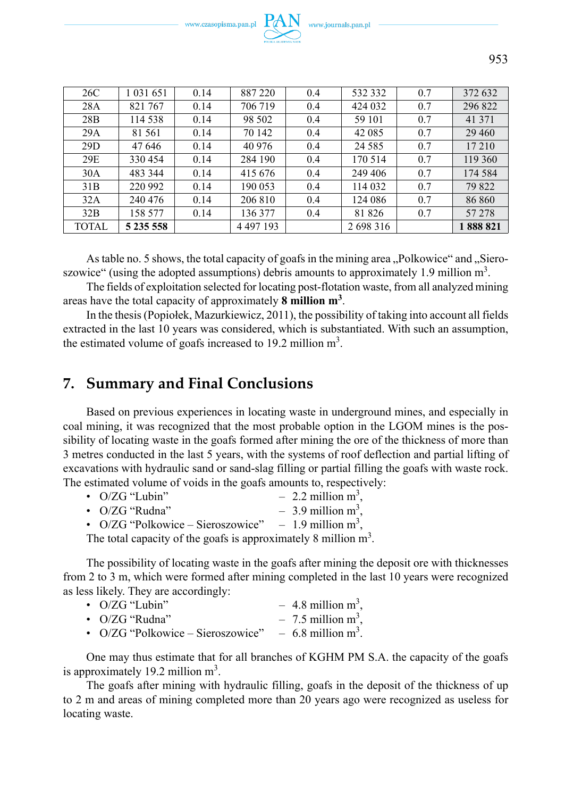

| 26C          | 1 0 3 1 6 5 1 | 0.14 | 887 220       | 0.4 | 532 332   | 0.7 | 372 632 |
|--------------|---------------|------|---------------|-----|-----------|-----|---------|
| 28A          | 821 767       | 0.14 | 706 719       | 0.4 | 424 032   | 0.7 | 296 822 |
| 28B          | 114 538       | 0.14 | 98 502        | 0.4 | 59 101    | 0.7 | 41 371  |
| 29A          | 81 561        | 0.14 | 70 142        | 0.4 | 42 0 85   | 0.7 | 29 4 60 |
| 29D          | 47 646        | 0.14 | 40 976        | 0.4 | 24 5 8 5  | 0.7 | 17 210  |
| 29E          | 330454        | 0.14 | 284 190       | 0.4 | 170 514   | 0.7 | 119 360 |
| 30A          | 483 344       | 0.14 | 415 676       | 0.4 | 249 406   | 0.7 | 174 584 |
| 31B          | 220 992       | 0.14 | 190 053       | 0.4 | 114 032   | 0.7 | 79 822  |
| 32A          | 240 476       | 0.14 | 206 810       | 0.4 | 124 086   | 0.7 | 86 860  |
| 32B          | 158 577       | 0.14 | 136 377       | 0.4 | 81 826    | 0.7 | 57 278  |
| <b>TOTAL</b> | 5 235 558     |      | 4 4 9 7 1 9 3 |     | 2 698 316 |     | 888 821 |

As table no. 5 shows, the total capacity of goafs in the mining area "Polkowice" and "Sieroszowice" (using the adopted assumptions) debris amounts to approximately 1.9 million  $m^3$ .

The fields of exploitation selected for locating post-flotation waste, from all analyzed mining areas have the total capacity of approximately **8 million m3** .

In the thesis (Popiołek, Mazurkiewicz, 2011), the possibility of taking into account all fields extracted in the last 10 years was considered, which is substantiated. With such an assumption, the estimated volume of goafs increased to 19.2 million  $m<sup>3</sup>$ .

# **7. Summary and Final Conclusions**

Based on previous experiences in locating waste in underground mines, and especially in coal mining, it was recognized that the most probable option in the LGOM mines is the possibility of locating waste in the goafs formed after mining the ore of the thickness of more than 3 metres conducted in the last 5 years, with the systems of roof deflection and partial lifting of excavations with hydraulic sand or sand-slag filling or partial filling the goafs with waste rock. The estimated volume of voids in the goafs amounts to, respectively:

| $\cdot$ O/ZG "Lubin"                                               | $-2.2$ million m <sup>3</sup> . |
|--------------------------------------------------------------------|---------------------------------|
| • $O/ZG$ "Rudna"                                                   | $-3.9$ million m <sup>3</sup> . |
| • $O/ZG$ "Polkowice – Sieroszowice" – 1.9 million m <sup>3</sup> , |                                 |

The total capacity of the goafs is approximately 8 million  $m<sup>3</sup>$ .

The possibility of locating waste in the goafs after mining the deposit ore with thicknesses from 2 to 3 m, which were formed after mining completed in the last 10 years were recognized as less likely. They are accordingly:

| • $O/ZG$ "Lubin" | $-4.8$ million m <sup>3</sup> , |
|------------------|---------------------------------|
| • $O/ZG$ "Rudna" | $-7.5$ million m <sup>3</sup> , |

• O/ZG "Polkowice – Sieroszowice" – 6.8 million  $m^3$ .

One may thus estimate that for all branches of KGHM PM S.A. the capacity of the goafs is approximately 19.2 million  $m<sup>3</sup>$ .

The goafs after mining with hydraulic filling, goafs in the deposit of the thickness of up to 2 m and areas of mining completed more than 20 years ago were recognized as useless for locating waste.